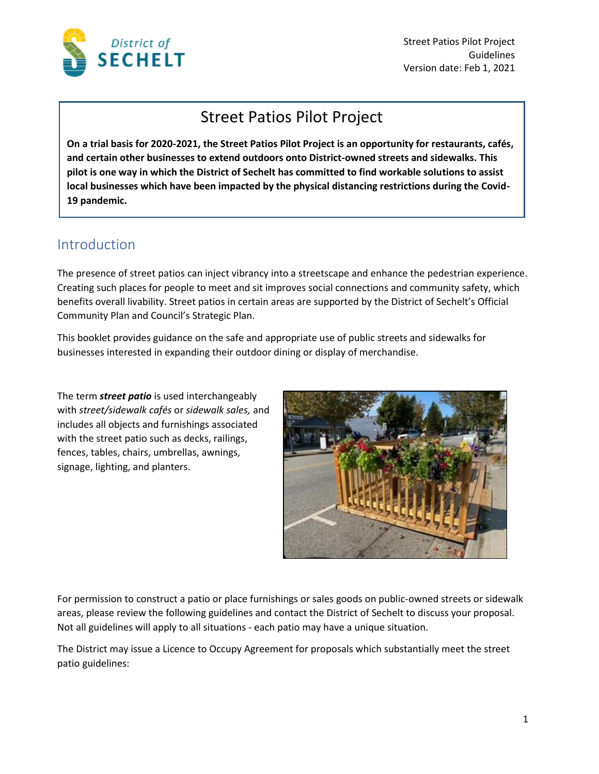

Street Patios Pilot Project Guidelines Version date: Feb 1, 2021

## Street Patios Pilot Project

**On a trial basis for 2020-2021, the Street Patios Pilot Project is an opportunity for restaurants, cafés, and certain other businesses to extend outdoors onto District-owned streets and sidewalks. This pilot is one way in which the District of Sechelt has committed to find workable solutions to assist local businesses which have been impacted by the physical distancing restrictions during the Covid-19 pandemic.**

#### Introduction

The presence of street patios can inject vibrancy into a streetscape and enhance the pedestrian experience. Creating such places for people to meet and sit improves social connections and community safety, which benefits overall livability. Street patios in certain areas are supported by the District of Sechelt's Official Community Plan and Council's Strategic Plan.

This booklet provides guidance on the safe and appropriate use of public streets and sidewalks for businesses interested in expanding their outdoor dining or display of merchandise.

The term *street patio* is used interchangeably with *street/sidewalk cafés* or *sidewalk sales,* and includes all objects and furnishings associated with the street patio such as decks, railings, fences, tables, chairs, umbrellas, awnings, signage, lighting, and planters.



For permission to construct a patio or place furnishings or sales goods on public-owned streets or sidewalk areas, please review the following guidelines and contact the District of Sechelt to discuss your proposal. Not all guidelines will apply to all situations - each patio may have a unique situation.

The District may issue a Licence to Occupy Agreement for proposals which substantially meet the street patio guidelines: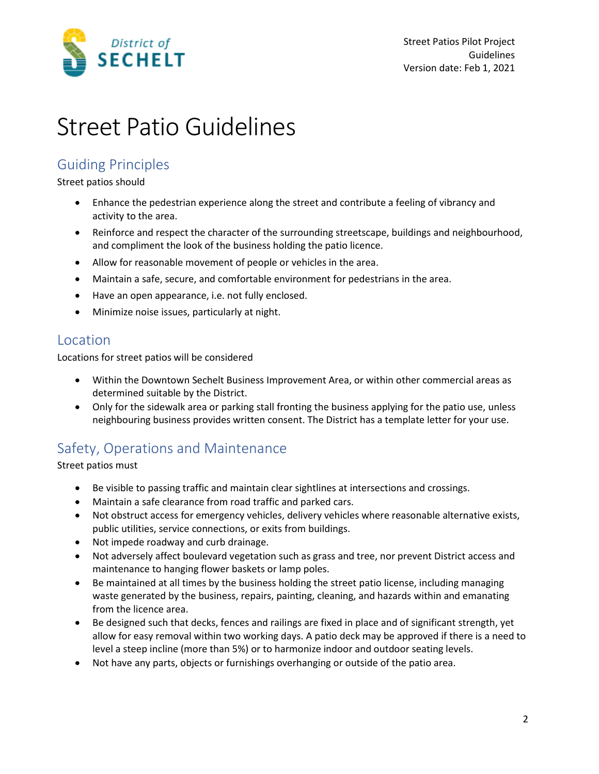

## Street Patio Guidelines

#### Guiding Principles

#### Street patios should

- Enhance the pedestrian experience along the street and contribute a feeling of vibrancy and activity to the area.
- Reinforce and respect the character of the surrounding streetscape, buildings and neighbourhood, and compliment the look of the business holding the patio licence.
- Allow for reasonable movement of people or vehicles in the area.
- Maintain a safe, secure, and comfortable environment for pedestrians in the area.
- Have an open appearance, i.e. not fully enclosed.
- Minimize noise issues, particularly at night.

#### Location

Locations for street patios will be considered

- Within the Downtown Sechelt Business Improvement Area, or within other commercial areas as determined suitable by the District.
- Only for the sidewalk area or parking stall fronting the business applying for the patio use, unless neighbouring business provides written consent. The District has a template letter for your use.

### Safety, Operations and Maintenance

Street patios must

- Be visible to passing traffic and maintain clear sightlines at intersections and crossings.
- Maintain a safe clearance from road traffic and parked cars.
- Not obstruct access for emergency vehicles, delivery vehicles where reasonable alternative exists, public utilities, service connections, or exits from buildings.
- Not impede roadway and curb drainage.
- Not adversely affect boulevard vegetation such as grass and tree, nor prevent District access and maintenance to hanging flower baskets or lamp poles.
- Be maintained at all times by the business holding the street patio license, including managing waste generated by the business, repairs, painting, cleaning, and hazards within and emanating from the licence area.
- Be designed such that decks, fences and railings are fixed in place and of significant strength, yet allow for easy removal within two working days. A patio deck may be approved if there is a need to level a steep incline (more than 5%) or to harmonize indoor and outdoor seating levels.
- Not have any parts, objects or furnishings overhanging or outside of the patio area.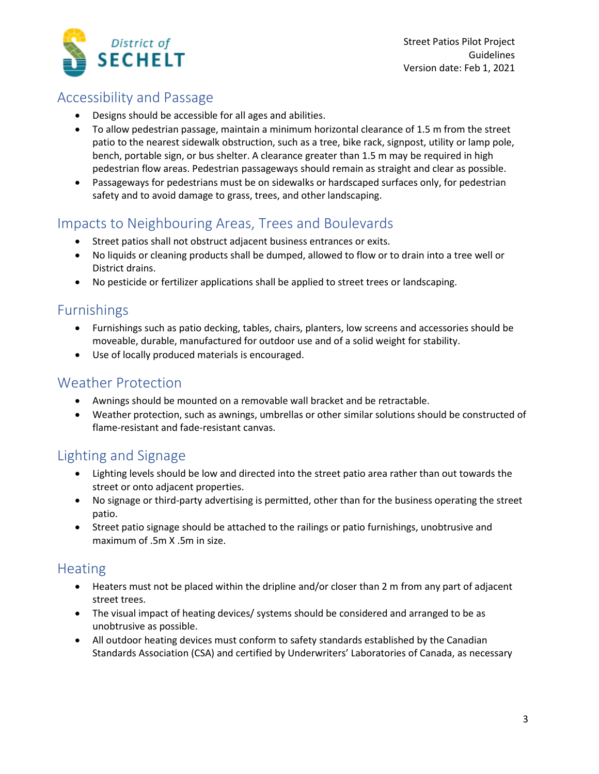

#### Accessibility and Passage

- Designs should be accessible for all ages and abilities.
- To allow pedestrian passage, maintain a minimum horizontal clearance of 1.5 m from the street patio to the nearest sidewalk obstruction, such as a tree, bike rack, signpost, utility or lamp pole, bench, portable sign, or bus shelter. A clearance greater than 1.5 m may be required in high pedestrian flow areas. Pedestrian passageways should remain as straight and clear as possible.
- Passageways for pedestrians must be on sidewalks or hardscaped surfaces only, for pedestrian safety and to avoid damage to grass, trees, and other landscaping.

#### Impacts to Neighbouring Areas, Trees and Boulevards

- Street patios shall not obstruct adjacent business entrances or exits.
- No liquids or cleaning products shall be dumped, allowed to flow or to drain into a tree well or District drains.
- No pesticide or fertilizer applications shall be applied to street trees or landscaping.

#### Furnishings

- Furnishings such as patio decking, tables, chairs, planters, low screens and accessories should be moveable, durable, manufactured for outdoor use and of a solid weight for stability.
- Use of locally produced materials is encouraged.

#### Weather Protection

- Awnings should be mounted on a removable wall bracket and be retractable.
- Weather protection, such as awnings, umbrellas or other similar solutions should be constructed of flame-resistant and fade-resistant canvas.

### Lighting and Signage

- Lighting levels should be low and directed into the street patio area rather than out towards the street or onto adjacent properties.
- No signage or third-party advertising is permitted, other than for the business operating the street patio.
- Street patio signage should be attached to the railings or patio furnishings, unobtrusive and maximum of .5m X .5m in size.

#### **Heating**

- Heaters must not be placed within the dripline and/or closer than 2 m from any part of adjacent street trees.
- The visual impact of heating devices/ systems should be considered and arranged to be as unobtrusive as possible.
- All outdoor heating devices must conform to safety standards established by the Canadian Standards Association (CSA) and certified by Underwriters' Laboratories of Canada, as necessary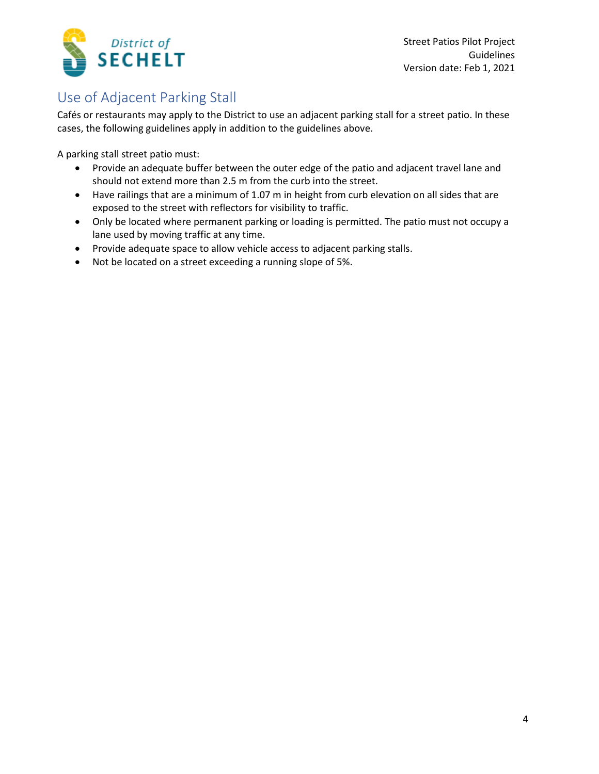

### Use of Adjacent Parking Stall

Cafés or restaurants may apply to the District to use an adjacent parking stall for a street patio. In these cases, the following guidelines apply in addition to the guidelines above.

A parking stall street patio must:

- Provide an adequate buffer between the outer edge of the patio and adjacent travel lane and should not extend more than 2.5 m from the curb into the street.
- Have railings that are a minimum of 1.07 m in height from curb elevation on all sides that are exposed to the street with reflectors for visibility to traffic.
- Only be located where permanent parking or loading is permitted. The patio must not occupy a lane used by moving traffic at any time.
- Provide adequate space to allow vehicle access to adjacent parking stalls.
- Not be located on a street exceeding a running slope of 5%.